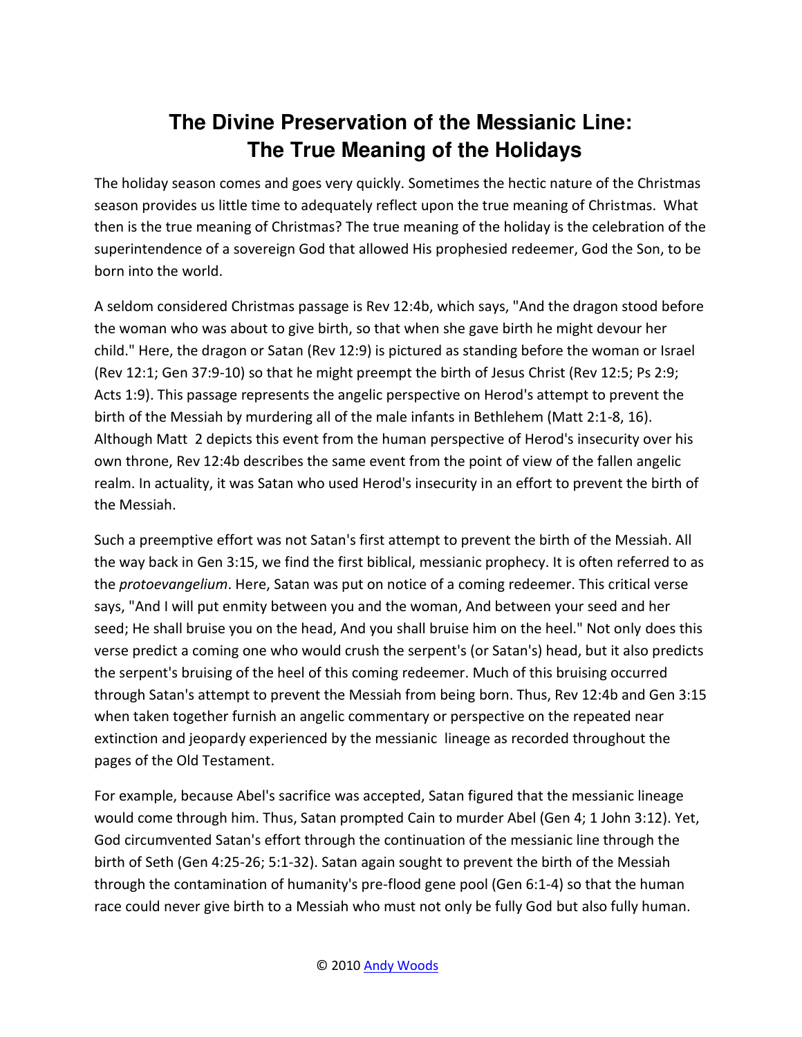## **The Divine Preservation of the Messianic Line: The True Meaning of the Holidays**

The holiday season comes and goes very quickly. Sometimes the hectic nature of the Christmas season provides us little time to adequately reflect upon the true meaning of Christmas. What then is the true meaning of Christmas? The true meaning of the holiday is the celebration of the superintendence of a sovereign God that allowed His prophesied redeemer, God the Son, to be born into the world.

A seldom considered Christmas passage is Rev 12:4b, which says, "And the dragon stood before the woman who was about to give birth, so that when she gave birth he might devour her child." Here, the dragon or Satan (Rev 12:9) is pictured as standing before the woman or Israel (Rev 12:1; Gen 37:9-10) so that he might preempt the birth of Jesus Christ (Rev 12:5; Ps 2:9; Acts 1:9). This passage represents the angelic perspective on Herod's attempt to prevent the birth of the Messiah by murdering all of the male infants in Bethlehem (Matt 2:1-8, 16). Although Matt 2 depicts this event from the human perspective of Herod's insecurity over his own throne, Rev 12:4b describes the same event from the point of view of the fallen angelic realm. In actuality, it was Satan who used Herod's insecurity in an effort to prevent the birth of the Messiah.

Such a preemptive effort was not Satan's first attempt to prevent the birth of the Messiah. All the way back in Gen 3:15, we find the first biblical, messianic prophecy. It is often referred to as the *protoevangelium*. Here, Satan was put on notice of a coming redeemer. This critical verse says, "And I will put enmity between you and the woman, And between your seed and her seed; He shall bruise you on the head, And you shall bruise him on the heel." Not only does this verse predict a coming one who would crush the serpent's (or Satan's) head, but it also predicts the serpent's bruising of the heel of this coming redeemer. Much of this bruising occurred through Satan's attempt to prevent the Messiah from being born. Thus, Rev 12:4b and Gen 3:15 when taken together furnish an angelic commentary or perspective on the repeated near extinction and jeopardy experienced by the messianic lineage as recorded throughout the pages of the Old Testament.

For example, because Abel's sacrifice was accepted, Satan figured that the messianic lineage would come through him. Thus, Satan prompted Cain to murder Abel (Gen 4; 1 John 3:12). Yet, God circumvented Satan's effort through the continuation of the messianic line through the birth of Seth (Gen 4:25-26; 5:1-32). Satan again sought to prevent the birth of the Messiah through the contamination of humanity's pre-flood gene pool (Gen 6:1-4) so that the human race could never give birth to a Messiah who must not only be fully God but also fully human.